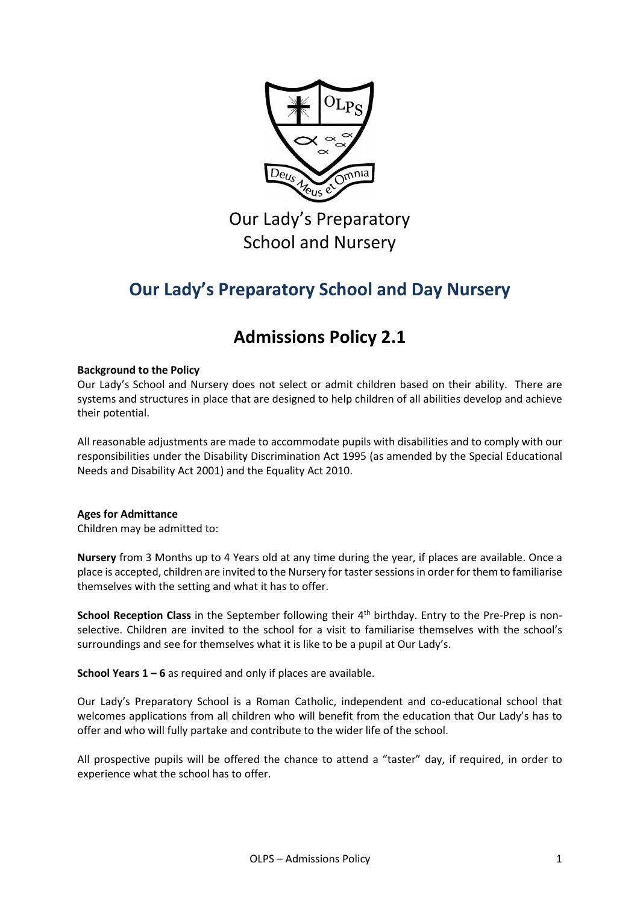

Our Lady's Preparatory School and Nursery

# **Our Lady's Preparatory School and Day Nursery**

## **Admissions Policy 2.1**

## **Background to the Policy**

Our Lady's School and Nursery does not select or admit children based on their ability. There are systems and structures in place that are designed to help children of all abilities develop and achieve their potential.

All reasonable adjustments are made to accommodate pupils with disabilities and to comply with our responsibilities under the Disability Discrimination Act 1995 (as amended by the Special Educational Needs and Disability Act 2001) and the Equality Act 2010.

## **Ages for Admittance**

Children may be admitted to:

**Nursery** from 3 Months up to 4 Years old at any time during the year, if places are available. Once a place is accepted, children are invited to the Nursery for taster sessionsin order for them to familiarise themselves with the setting and what it has to offer.

**School Reception Class** in the September following their 4<sup>th</sup> birthday. Entry to the Pre-Prep is nonselective. Children are invited to the school for a visit to familiarise themselves with the school's surroundings and see for themselves what it is like to be a pupil at Our Lady's.

**School Years 1 – 6** as required and only if places are available.

Our Lady's Preparatory School is a Roman Catholic, independent and co-educational school that welcomes applications from all children who will benefit from the education that Our Lady's has to offer and who will fully partake and contribute to the wider life of the school.

All prospective pupils will be offered the chance to attend a "taster" day, if required, in order to experience what the school has to offer.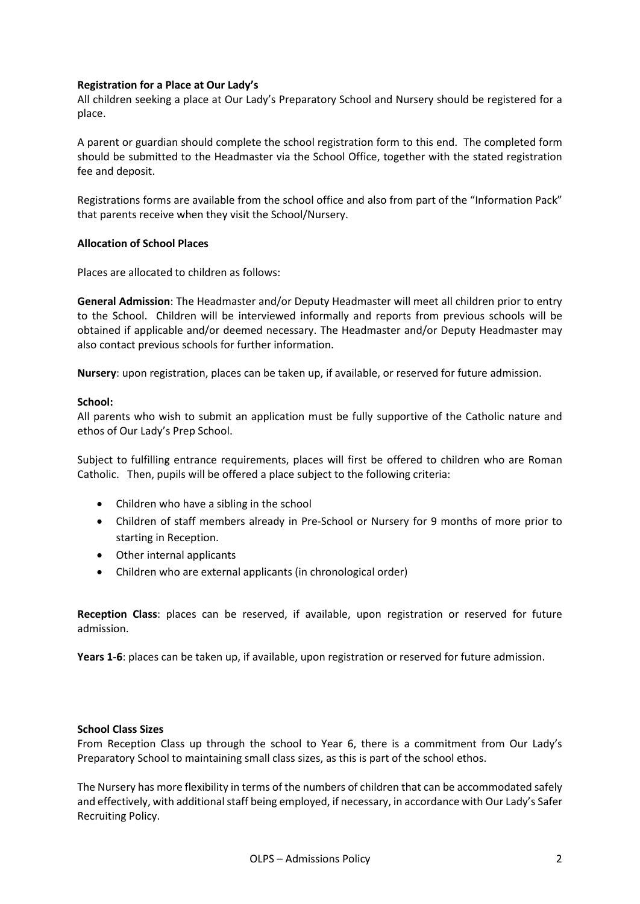## **Registration for a Place at Our Lady's**

All children seeking a place at Our Lady's Preparatory School and Nursery should be registered for a place.

A parent or guardian should complete the school registration form to this end. The completed form should be submitted to the Headmaster via the School Office, together with the stated registration fee and deposit.

Registrations forms are available from the school office and also from part of the "Information Pack" that parents receive when they visit the School/Nursery.

## **Allocation of School Places**

Places are allocated to children as follows:

**General Admission**: The Headmaster and/or Deputy Headmaster will meet all children prior to entry to the School. Children will be interviewed informally and reports from previous schools will be obtained if applicable and/or deemed necessary. The Headmaster and/or Deputy Headmaster may also contact previous schools for further information.

**Nursery**: upon registration, places can be taken up, if available, or reserved for future admission.

## **School:**

All parents who wish to submit an application must be fully supportive of the Catholic nature and ethos of Our Lady's Prep School.

Subject to fulfilling entrance requirements, places will first be offered to children who are Roman Catholic. Then, pupils will be offered a place subject to the following criteria:

- Children who have a sibling in the school
- Children of staff members already in Pre-School or Nursery for 9 months of more prior to starting in Reception.
- Other internal applicants
- Children who are external applicants (in chronological order)

**Reception Class**: places can be reserved, if available, upon registration or reserved for future admission.

**Years 1-6**: places can be taken up, if available, upon registration or reserved for future admission.

## **School Class Sizes**

From Reception Class up through the school to Year 6, there is a commitment from Our Lady's Preparatory School to maintaining small class sizes, as this is part of the school ethos.

The Nursery has more flexibility in terms of the numbers of children that can be accommodated safely and effectively, with additional staff being employed, if necessary, in accordance with Our Lady's Safer Recruiting Policy.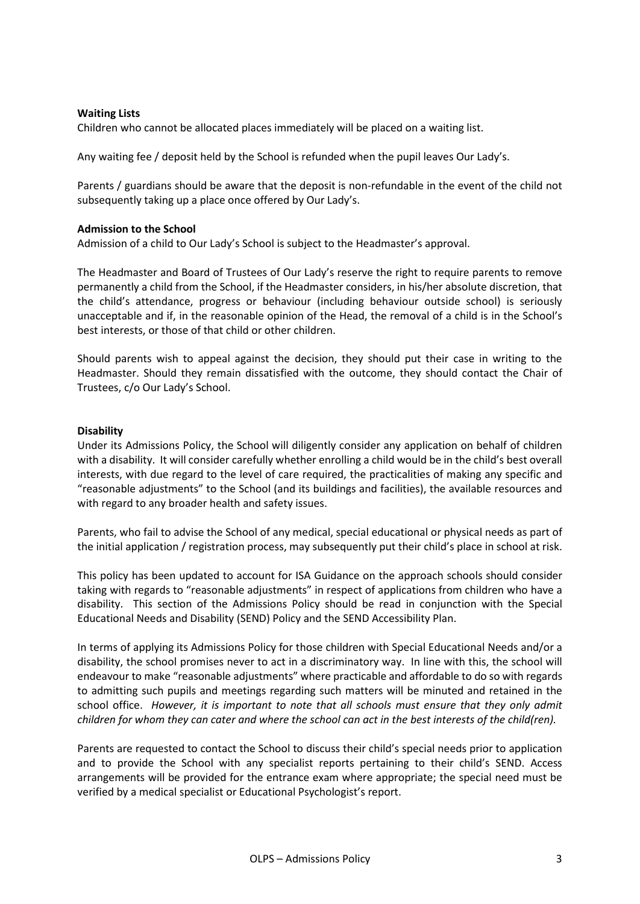### **Waiting Lists**

Children who cannot be allocated places immediately will be placed on a waiting list.

Any waiting fee / deposit held by the School is refunded when the pupil leaves Our Lady's.

Parents / guardians should be aware that the deposit is non-refundable in the event of the child not subsequently taking up a place once offered by Our Lady's.

#### **Admission to the School**

Admission of a child to Our Lady's School is subject to the Headmaster's approval.

The Headmaster and Board of Trustees of Our Lady's reserve the right to require parents to remove permanently a child from the School, if the Headmaster considers, in his/her absolute discretion, that the child's attendance, progress or behaviour (including behaviour outside school) is seriously unacceptable and if, in the reasonable opinion of the Head, the removal of a child is in the School's best interests, or those of that child or other children.

Should parents wish to appeal against the decision, they should put their case in writing to the Headmaster. Should they remain dissatisfied with the outcome, they should contact the Chair of Trustees, c/o Our Lady's School.

#### **Disability**

Under its Admissions Policy, the School will diligently consider any application on behalf of children with a disability. It will consider carefully whether enrolling a child would be in the child's best overall interests, with due regard to the level of care required, the practicalities of making any specific and "reasonable adjustments" to the School (and its buildings and facilities), the available resources and with regard to any broader health and safety issues.

Parents, who fail to advise the School of any medical, special educational or physical needs as part of the initial application / registration process, may subsequently put their child's place in school at risk.

This policy has been updated to account for ISA Guidance on the approach schools should consider taking with regards to "reasonable adjustments" in respect of applications from children who have a disability. This section of the Admissions Policy should be read in conjunction with the Special Educational Needs and Disability (SEND) Policy and the SEND Accessibility Plan.

In terms of applying its Admissions Policy for those children with Special Educational Needs and/or a disability, the school promises never to act in a discriminatory way. In line with this, the school will endeavour to make "reasonable adjustments" where practicable and affordable to do so with regards to admitting such pupils and meetings regarding such matters will be minuted and retained in the school office. *However, it is important to note that all schools must ensure that they only admit children for whom they can cater and where the school can act in the best interests of the child(ren).*

Parents are requested to contact the School to discuss their child's special needs prior to application and to provide the School with any specialist reports pertaining to their child's SEND. Access arrangements will be provided for the entrance exam where appropriate; the special need must be verified by a medical specialist or Educational Psychologist's report.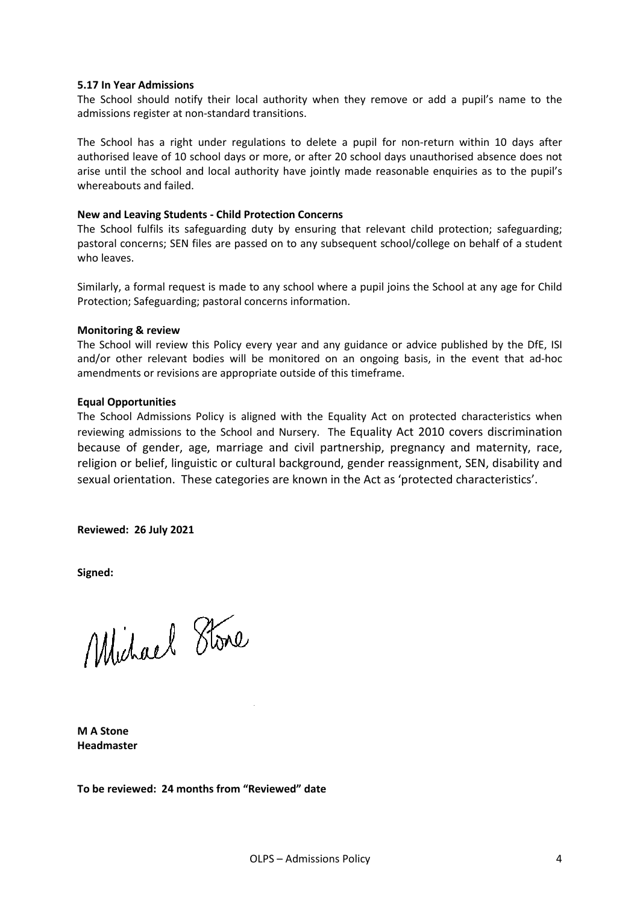#### **5.17 In Year Admissions**

The School should notify their local authority when they remove or add a pupil's name to the admissions register at non-standard transitions.

The School has a right under regulations to delete a pupil for non-return within 10 days after authorised leave of 10 school days or more, or after 20 school days unauthorised absence does not arise until the school and local authority have jointly made reasonable enquiries as to the pupil's whereabouts and failed.

#### **New and Leaving Students - Child Protection Concerns**

The School fulfils its safeguarding duty by ensuring that relevant child protection; safeguarding; pastoral concerns; SEN files are passed on to any subsequent school/college on behalf of a student who leaves.

Similarly, a formal request is made to any school where a pupil joins the School at any age for Child Protection; Safeguarding; pastoral concerns information.

#### **Monitoring & review**

The School will review this Policy every year and any guidance or advice published by the DfE, ISI and/or other relevant bodies will be monitored on an ongoing basis, in the event that ad-hoc amendments or revisions are appropriate outside of this timeframe.

#### **Equal Opportunities**

The School Admissions Policy is aligned with the Equality Act on protected characteristics when reviewing admissions to the School and Nursery. The Equality Act 2010 covers discrimination because of gender, age, marriage and civil partnership, pregnancy and maternity, race, religion or belief, linguistic or cultural background, gender reassignment, SEN, disability and sexual orientation. These categories are known in the Act as 'protected characteristics'.

**Reviewed: 26 July 2021**

**Signed:**

Michael Stone

**M A Stone Headmaster**

**To be reviewed: 24 months from "Reviewed" date**